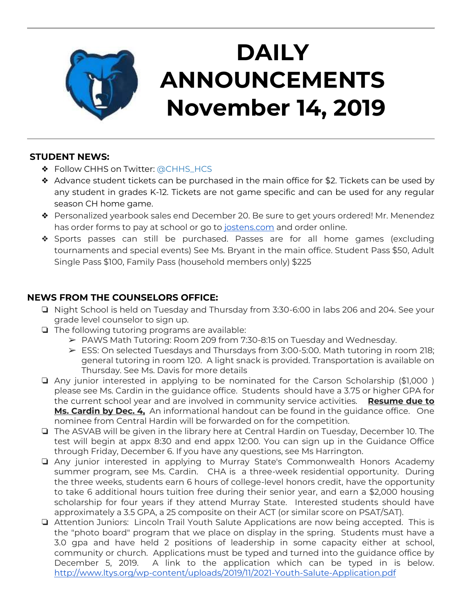

## **DAILY ANNOUNCEMENTS November 14, 2019**

### **STUDENT NEWS:**

- ❖ Follow CHHS on Twitter: [@CHHS\\_HCS](https://twitter.com/CHHS_HCS)
- ❖ Advance student tickets can be purchased in the main office for \$2. Tickets can be used by any student in grades K-12. Tickets are not game specific and can be used for any regular season CH home game.
- ❖ Personalized yearbook sales end December 20. Be sure to get yours ordered! Mr. Menendez has order forms to pay at school or go to [jostens.com](http://jostens.com/) and order online.
- ❖ Sports passes can still be purchased. Passes are for all home games (excluding tournaments and special events) See Ms. Bryant in the main office. Student Pass \$50, Adult Single Pass \$100, Family Pass (household members only) \$225

### **NEWS FROM THE COUNSELORS OFFICE:**

- ❏ Night School is held on Tuesday and Thursday from 3:30-6:00 in labs 206 and 204. See your grade level counselor to sign up.
- ❏ The following tutoring programs are available:
	- ➢ PAWS Math Tutoring: Room 209 from 7:30-8:15 on Tuesday and Wednesday.
	- ➢ ESS: On selected Tuesdays and Thursdays from 3:00-5:00. Math tutoring in room 218; general tutoring in room 120. A light snack is provided. Transportation is available on Thursday. See Ms. Davis for more details
- ❏ Any junior interested in applying to be nominated for the Carson Scholarship (\$1,000 ) please see Ms. Cardin in the guidance office. Students should have a 3.75 or higher GPA for the current school year and are involved in community service activities. **Resume due to Ms. Cardin by Dec. 4,** An informational handout can be found in the guidance office. One nominee from Central Hardin will be forwarded on for the competition.
- ❏ The ASVAB will be given in the library here at Central Hardin on Tuesday, December 10. The test will begin at appx 8:30 and end appx 12:00. You can sign up in the Guidance Office through Friday, December 6. If you have any questions, see Ms Harrington.
- ❏ Any junior interested in applying to Murray State's Commonwealth Honors Academy summer program, see Ms. Cardin. CHA is a three-week residential opportunity. During the three weeks, students earn 6 hours of college-level honors credit, have the opportunity to take 6 additional hours tuition free during their senior year, and earn a \$2,000 housing scholarship for four years if they attend Murray State. Interested students should have approximately a 3.5 GPA, a 25 composite on their ACT (or similar score on PSAT/SAT).
- ❏ Attention Juniors: Lincoln Trail Youth Salute Applications are now being accepted. This is the "photo board" program that we place on display in the spring. Students must have a 3.0 gpa and have held 2 positions of leadership in some capacity either at school, community or church. Applications must be typed and turned into the guidance office by December 5, 2019. A link to the application which can be typed in is below. <http://www.ltys.org/wp-content/uploads/2019/11/2021-Youth-Salute-Application.pdf>